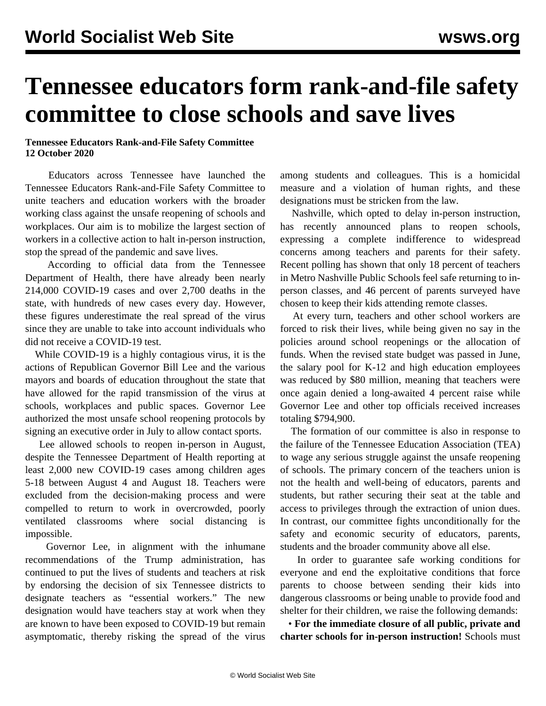## **Tennessee educators form rank-and-file safety committee to close schools and save lives**

## **Tennessee Educators Rank-and-File Safety Committee 12 October 2020**

 Educators across Tennessee have launched the Tennessee Educators Rank-and-File Safety Committee to unite teachers and education workers with the broader working class against the unsafe reopening of schools and workplaces. Our aim is to mobilize the largest section of workers in a collective action to halt in-person instruction, stop the spread of the pandemic and save lives.

 According to official data from the Tennessee Department of Health, there have already been nearly 214,000 COVID-19 cases and over 2,700 deaths in the state, with hundreds of new cases every day. However, these figures underestimate the real spread of the virus since they are unable to take into account individuals who did not receive a COVID-19 test.

 While COVID-19 is a highly contagious virus, it is the actions of Republican Governor Bill Lee and the various mayors and boards of education throughout the state that have allowed for the rapid transmission of the virus at schools, workplaces and public spaces. Governor Lee authorized the most unsafe school reopening protocols by signing an executive order in July to allow contact sports.

 Lee allowed schools to reopen in-person in August, despite the Tennessee Department of Health reporting at least 2,000 new COVID-19 cases among children ages 5-18 between August 4 and August 18. Teachers were excluded from the decision-making process and were compelled to return to work in overcrowded, poorly ventilated classrooms where social distancing is impossible.

 Governor Lee, in alignment with the inhumane recommendations of the Trump administration, has continued to put the lives of students and teachers at risk by endorsing the decision of six Tennessee districts to designate teachers as "essential workers." The new designation would have teachers stay at work when they are known to have been exposed to COVID-19 but remain asymptomatic, thereby risking the spread of the virus

among students and colleagues. This is a homicidal measure and a violation of human rights, and these designations must be stricken from the law.

 Nashville, which opted to delay in-person instruction, has recently announced plans to reopen schools, expressing a complete indifference to widespread concerns among teachers and parents for their safety. Recent polling has shown that only 18 percent of teachers in Metro Nashville Public Schools feel safe returning to inperson classes, and 46 percent of parents surveyed have chosen to keep their kids attending remote classes.

 At every turn, teachers and other school workers are forced to risk their lives, while being given no say in the policies around school reopenings or the allocation of funds. When the revised state budget was passed in June, the salary pool for K-12 and high education employees was reduced by \$80 million, meaning that teachers were once again denied a long-awaited 4 percent raise while Governor Lee and other top officials received increases totaling \$794,900.

 The formation of our committee is also in response to the failure of the Tennessee Education Association (TEA) to wage any serious struggle against the unsafe reopening of schools. The primary concern of the teachers union is not the health and well-being of educators, parents and students, but rather securing their seat at the table and access to privileges through the extraction of union dues. In contrast, our committee fights unconditionally for the safety and economic security of educators, parents, students and the broader community above all else.

 In order to guarantee safe working conditions for everyone and end the exploitative conditions that force parents to choose between sending their kids into dangerous classrooms or being unable to provide food and shelter for their children, we raise the following demands:

 • **For the immediate closure of all public, private and charter schools for in-person instruction!** Schools must